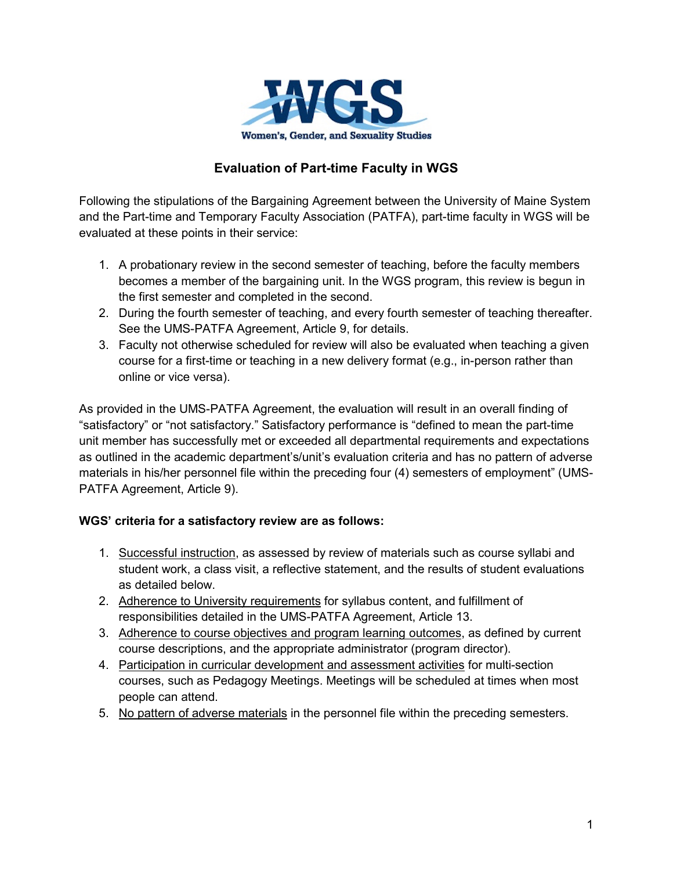

## **Evaluation of Part-time Faculty in WGS**

Following the stipulations of the Bargaining Agreement between the University of Maine System and the Part-time and Temporary Faculty Association (PATFA), part-time faculty in WGS will be evaluated at these points in their service:

- 1. A probationary review in the second semester of teaching, before the faculty members becomes a member of the bargaining unit. In the WGS program, this review is begun in the first semester and completed in the second.
- 2. During the fourth semester of teaching, and every fourth semester of teaching thereafter. See the UMS-PATFA Agreement, Article 9, for details.
- 3. Faculty not otherwise scheduled for review will also be evaluated when teaching a given course for a first-time or teaching in a new delivery format (e.g., in-person rather than online or vice versa).

As provided in the UMS-PATFA Agreement, the evaluation will result in an overall finding of "satisfactory" or "not satisfactory." Satisfactory performance is "defined to mean the part-time unit member has successfully met or exceeded all departmental requirements and expectations as outlined in the academic department's/unit's evaluation criteria and has no pattern of adverse materials in his/her personnel file within the preceding four (4) semesters of employment" (UMS-PATFA Agreement, Article 9).

#### **WGS' criteria for a satisfactory review are as follows:**

- 1. Successful instruction, as assessed by review of materials such as course syllabi and student work, a class visit, a reflective statement, and the results of student evaluations as detailed below.
- 2. Adherence to University requirements for syllabus content, and fulfillment of responsibilities detailed in the UMS-PATFA Agreement, Article 13.
- 3. Adherence to course objectives and program learning outcomes, as defined by current course descriptions, and the appropriate administrator (program director).
- 4. Participation in curricular development and assessment activities for multi-section courses, such as Pedagogy Meetings. Meetings will be scheduled at times when most people can attend.
- 5. No pattern of adverse materials in the personnel file within the preceding semesters.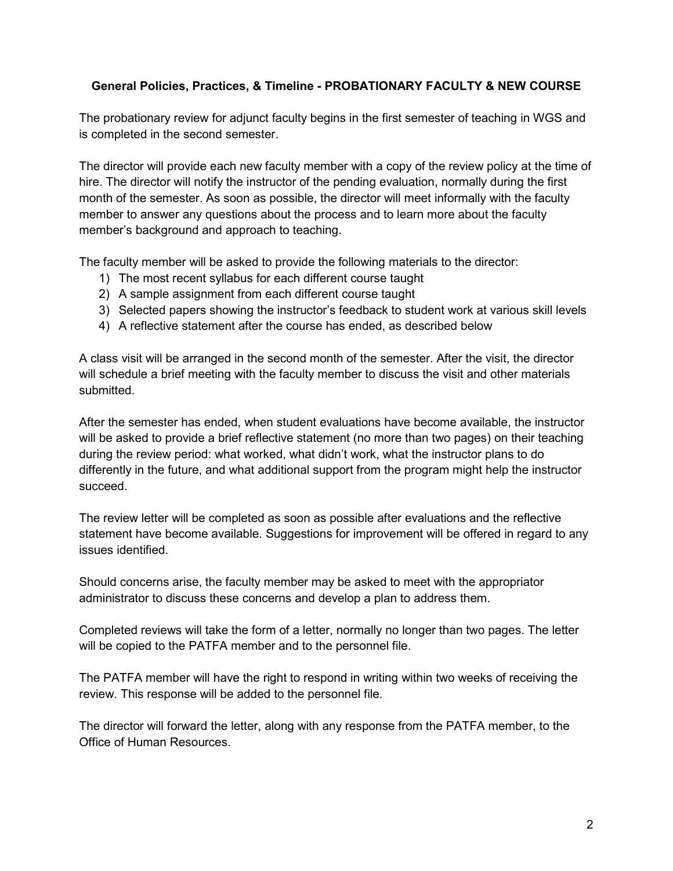### **General Policies, Practices, & Timeline - PROBATIONARY FACULTY & NEW COURSE**

The probationary review for adjunct faculty begins in the first semester of teaching in WGS and is completed in the second semester.

The director will provide each new faculty member with a copy of the review policy at the time of hire. The director will notify the instructor of the pending evaluation, normally during the first month of the semester. As soon as possible, the director will meet informally with the faculty member to answer any questions about the process and to learn more about the faculty member's background and approach to teaching.

The faculty member will be asked to provide the following materials to the director:

- 1) The most recent syllabus for each different course taught
- 2) A sample assignment from each different course taught
- 3) Selected papers showing the instructor's feedback to student work at various skill levels
- 4) A reflective statement after the course has ended, as described below

A class visit will be arranged in the second month of the semester. After the visit, the director will schedule a brief meeting with the faculty member to discuss the visit and other materials submitted.

After the semester has ended, when student evaluations have become available, the instructor will be asked to provide a brief reflective statement (no more than two pages) on their teaching during the review period: what worked, what didn't work, what the instructor plans to do differently in the future, and what additional support from the program might help the instructor succeed.

The review letter will be completed as soon as possible after evaluations and the reflective statement have become available. Suggestions for improvement will be offered in regard to any issues identified.

Should concerns arise, the faculty member may be asked to meet with the appropriator administrator to discuss these concerns and develop a plan to address them.

Completed reviews will take the form of a letter, normally no longer than two pages. The letter will be copied to the PATFA member and to the personnel file.

The PATFA member will have the right to respond in writing within two weeks of receiving the review. This response will be added to the personnel file.

The director will forward the letter, along with any response from the PATFA member, to the Office of Human Resources.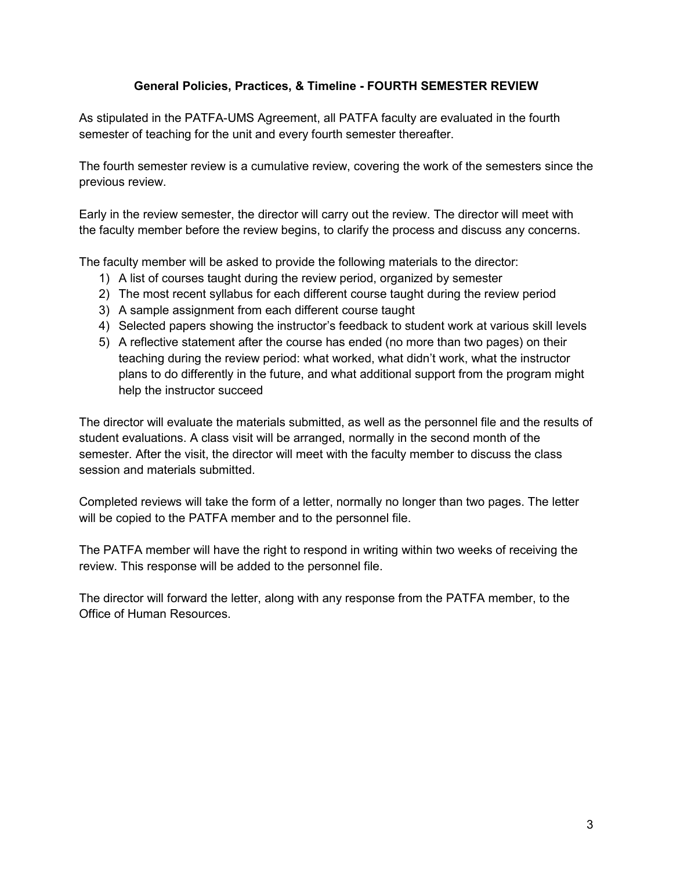### **General Policies, Practices, & Timeline - FOURTH SEMESTER REVIEW**

As stipulated in the PATFA-UMS Agreement, all PATFA faculty are evaluated in the fourth semester of teaching for the unit and every fourth semester thereafter.

The fourth semester review is a cumulative review, covering the work of the semesters since the previous review.

Early in the review semester, the director will carry out the review. The director will meet with the faculty member before the review begins, to clarify the process and discuss any concerns.

The faculty member will be asked to provide the following materials to the director:

- 1) A list of courses taught during the review period, organized by semester
- 2) The most recent syllabus for each different course taught during the review period
- 3) A sample assignment from each different course taught
- 4) Selected papers showing the instructor's feedback to student work at various skill levels
- 5) A reflective statement after the course has ended (no more than two pages) on their teaching during the review period: what worked, what didn't work, what the instructor plans to do differently in the future, and what additional support from the program might help the instructor succeed

The director will evaluate the materials submitted, as well as the personnel file and the results of student evaluations. A class visit will be arranged, normally in the second month of the semester. After the visit, the director will meet with the faculty member to discuss the class session and materials submitted.

Completed reviews will take the form of a letter, normally no longer than two pages. The letter will be copied to the PATFA member and to the personnel file.

The PATFA member will have the right to respond in writing within two weeks of receiving the review. This response will be added to the personnel file.

The director will forward the letter, along with any response from the PATFA member, to the Office of Human Resources.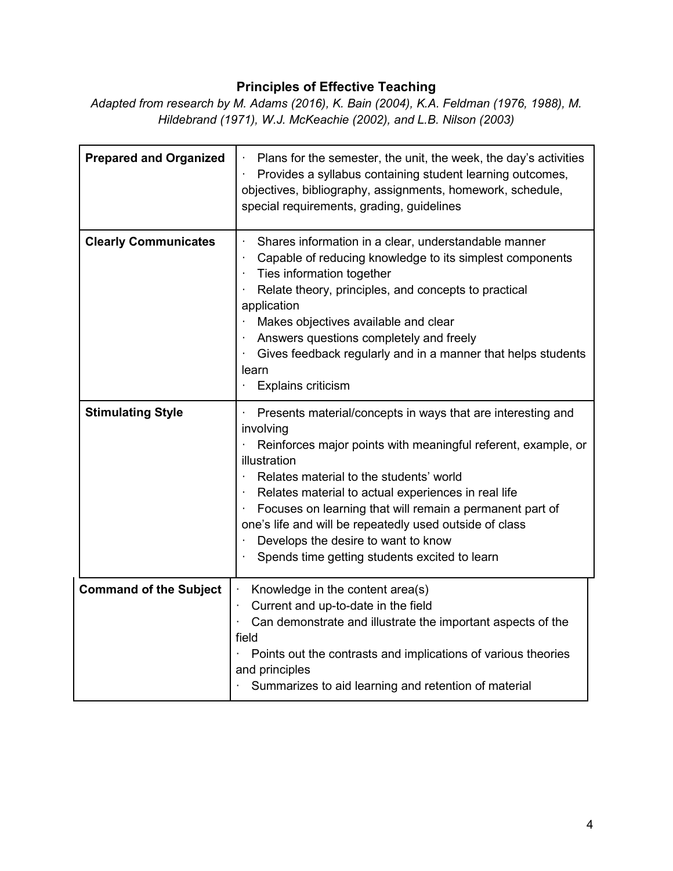# **Principles of Effective Teaching**

*Adapted from research by M. Adams (2016), K. Bain (2004), K.A. Feldman (1976, 1988), M. Hildebrand (1971), W.J. McKeachie (2002), and L.B. Nilson (2003)*

| <b>Prepared and Organized</b> | Plans for the semester, the unit, the week, the day's activities<br>Provides a syllabus containing student learning outcomes,<br>objectives, bibliography, assignments, homework, schedule,<br>special requirements, grading, guidelines                                                                                                                                                                                                                                   |
|-------------------------------|----------------------------------------------------------------------------------------------------------------------------------------------------------------------------------------------------------------------------------------------------------------------------------------------------------------------------------------------------------------------------------------------------------------------------------------------------------------------------|
| <b>Clearly Communicates</b>   | Shares information in a clear, understandable manner<br>Capable of reducing knowledge to its simplest components<br>Ties information together<br>Relate theory, principles, and concepts to practical<br>application<br>Makes objectives available and clear<br>Answers questions completely and freely<br>Gives feedback regularly and in a manner that helps students<br>learn<br><b>Explains criticism</b>                                                              |
| <b>Stimulating Style</b>      | Presents material/concepts in ways that are interesting and<br>involving<br>Reinforces major points with meaningful referent, example, or<br>illustration<br>Relates material to the students' world<br>Relates material to actual experiences in real life<br>Focuses on learning that will remain a permanent part of<br>one's life and will be repeatedly used outside of class<br>Develops the desire to want to know<br>Spends time getting students excited to learn |
| <b>Command of the Subject</b> | Knowledge in the content area(s)<br>Current and up-to-date in the field<br>Can demonstrate and illustrate the important aspects of the<br>field<br>Points out the contrasts and implications of various theories<br>and principles<br>Summarizes to aid learning and retention of material                                                                                                                                                                                 |